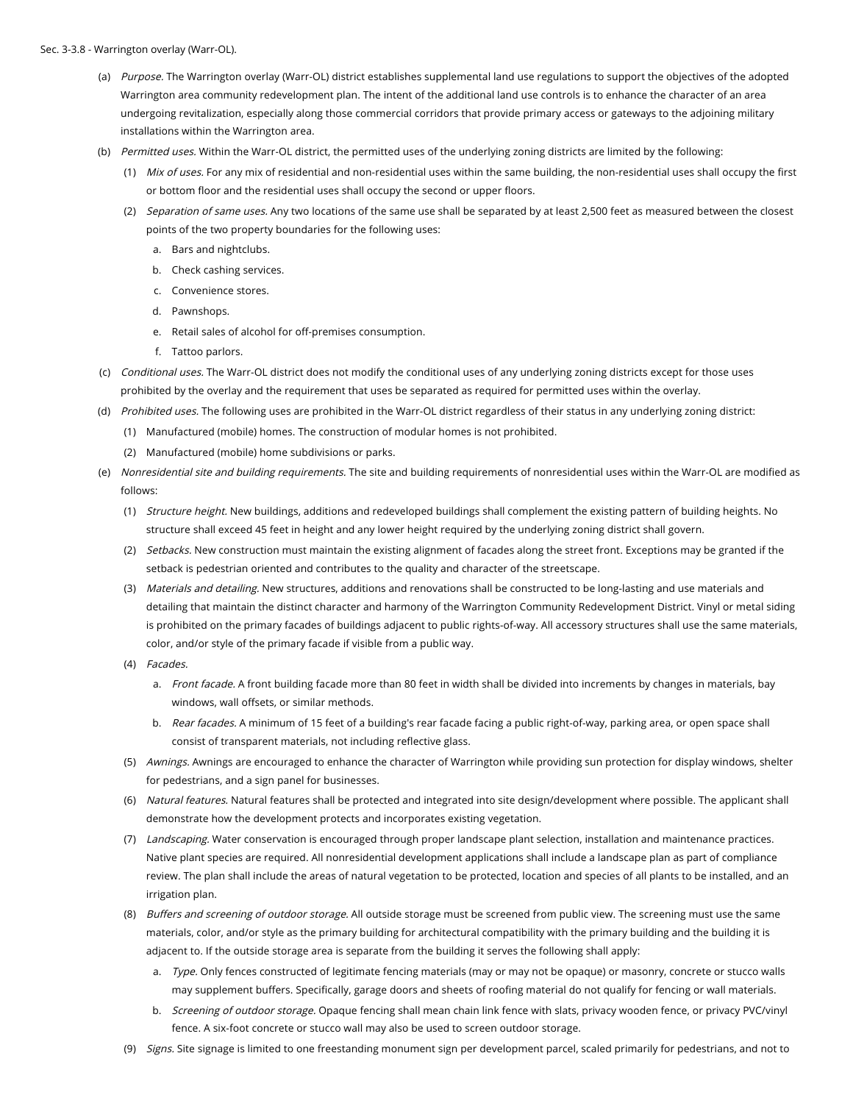- (a) Purpose. The Warrington overlay (Warr-OL) district establishes supplemental land use regulations to support the objectives of the adopted Warrington area community redevelopment plan. The intent of the additional land use controls is to enhance the character of an area undergoing revitalization, especially along those commercial corridors that provide primary access or gateways to the adjoining military installations within the Warrington area.
- (b) Permitted uses. Within the Warr-OL district, the permitted uses of the underlying zoning districts are limited by the following:
	- (1) Mix of uses. For any mix of residential and non-residential uses within the same building, the non-residential uses shall occupy the first or bottom floor and the residential uses shall occupy the second or upper floors.
	- (2) Separation of same uses. Any two locations of the same use shall be separated by at least 2,500 feet as measured between the closest points of the two property boundaries for the following uses:
		- a. Bars and nightclubs.
		- b. Check cashing services.
		- c. Convenience stores.
		- d. Pawnshops.
		- e. Retail sales of alcohol for off-premises consumption.
		- f. Tattoo parlors.
- (c) *Conditional uses.* The Warr-OL district does not modify the conditional uses of any underlying zoning districts except for those uses prohibited by the overlay and the requirement that uses be separated as required for permitted uses within the overlay.
- (d) Prohibited uses. The following uses are prohibited in the Warr-OL district regardless of their status in any underlying zoning district:
	- (1) Manufactured (mobile) homes. The construction of modular homes is not prohibited.
	- (2) Manufactured (mobile) home subdivisions or parks.
- (e) Nonresidential site and building requirements. The site and building requirements of nonresidential uses within the Warr-OL are modified as follows:
	- (1) Structure height. New buildings, additions and redeveloped buildings shall complement the existing pattern of building heights. No structure shall exceed 45 feet in height and any lower height required by the underlying zoning district shall govern.
	- (2) Setbacks. New construction must maintain the existing alignment of facades along the street front. Exceptions may be granted if the setback is pedestrian oriented and contributes to the quality and character of the streetscape.
	- (3) Materials and detailing. New structures, additions and renovations shall be constructed to be long-lasting and use materials and detailing that maintain the distinct character and harmony of the Warrington Community Redevelopment District. Vinyl or metal siding is prohibited on the primary facades of buildings adjacent to public rights-of-way. All accessory structures shall use the same materials, color, and/or style of the primary facade if visible from a public way.
	- (4) Facades.
		- a. Front facade. A front building facade more than 80 feet in width shall be divided into increments by changes in materials, bay windows, wall offsets, or similar methods.
		- b. *Rear facades.* A minimum of 15 feet of a building's rear facade facing a public right-of-way, parking area, or open space shall consist of transparent materials, not including reflective glass.
	- (5) Awnings. Awnings are encouraged to enhance the character of Warrington while providing sun protection for display windows, shelter for pedestrians, and a sign panel for businesses.
	- (6) *Natural features.* Natural features shall be protected and integrated into site design/development where possible. The applicant shall demonstrate how the development protects and incorporates existing vegetation.
	- (7) Landscaping. Water conservation is encouraged through proper landscape plant selection, installation and maintenance practices. Native plant species are required. All nonresidential development applications shall include a landscape plan as part of compliance review. The plan shall include the areas of natural vegetation to be protected, location and species of all plants to be installed, and an irrigation plan.
	- (8) *Buffers and screening of outdoor storage.* All outside storage must be screened from public view. The screening must use the same materials, color, and/or style as the primary building for architectural compatibility with the primary building and the building it is adjacent to. If the outside storage area is separate from the building it serves the following shall apply:
		- a. Type. Only fences constructed of legitimate fencing materials (may or may not be opaque) or masonry, concrete or stucco walls may supplement buffers. Specifically, garage doors and sheets of roofing material do not qualify for fencing or wall materials.
		- b. *Screening of outdoor storage.* Opaque fencing shall mean chain link fence with slats, privacy wooden fence, or privacy PVC/vinyl fence. A six-foot concrete or stucco wall may also be used to screen outdoor storage.
	- (9) Signs. Site signage is limited to one freestanding monument sign per development parcel, scaled primarily for pedestrians, and not to